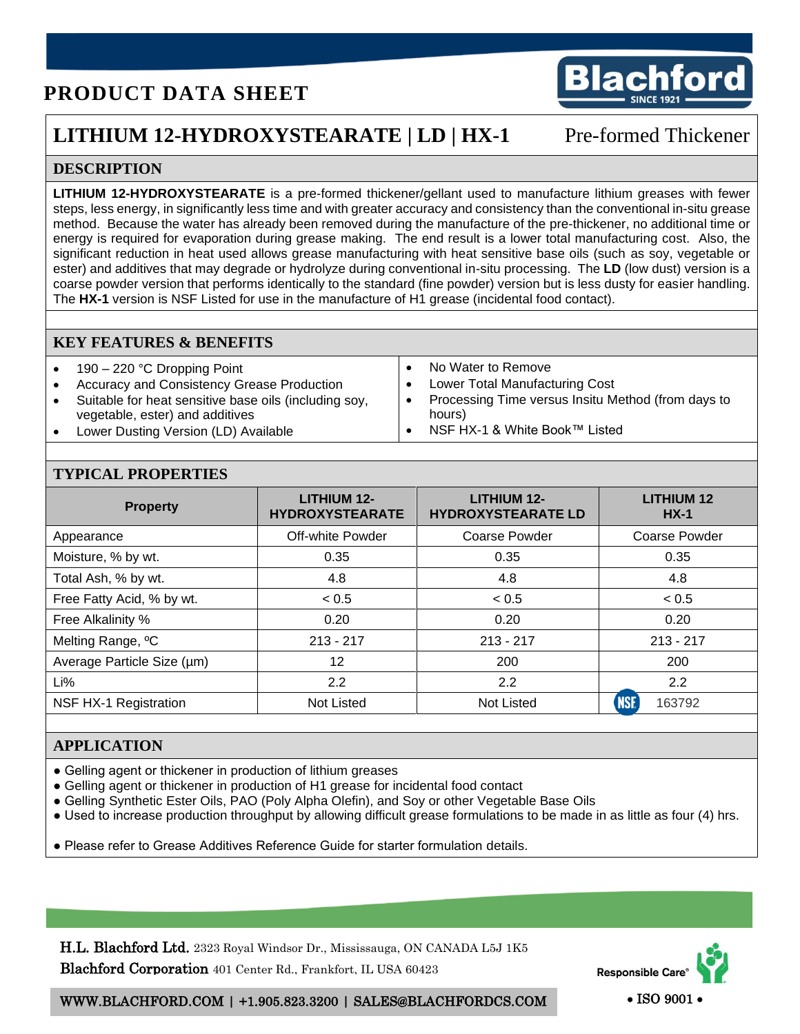# **PRODUCT DATA SHEET**



## **LITHIUM 12-HYDROXYSTEARATE** | **LD | HX-1** Pre-formed Thickener

### **DESCRIPTION**

**LITHIUM 12-HYDROXYSTEARATE** is a pre-formed thickener/gellant used to manufacture lithium greases with fewer steps, less energy, in significantly less time and with greater accuracy and consistency than the conventional in-situ grease method. Because the water has already been removed during the manufacture of the pre-thickener, no additional time or energy is required for evaporation during grease making. The end result is a lower total manufacturing cost. Also, the significant reduction in heat used allows grease manufacturing with heat sensitive base oils (such as soy, vegetable or ester) and additives that may degrade or hydrolyze during conventional in-situ processing. The **LD** (low dust) version is a coarse powder version that performs identically to the standard (fine powder) version but is less dusty for easier handling. The **HX-1** version is NSF Listed for use in the manufacture of H1 grease (incidental food contact).

#### **KEY FEATURES & BENEFITS**

- 190 220 °C Dropping Point
- Accuracy and Consistency Grease Production
- Suitable for heat sensitive base oils (including soy, vegetable, ester) and additives
- Lower Dusting Version (LD) Available
- No Water to Remove
- Lower Total Manufacturing Cost
- Processing Time versus Insitu Method (from days to hours)
- NSF HX-1 & White Book™ Listed

#### **TYPICAL PROPERTIES**

| <b>Property</b>               | <b>LITHIUM 12-</b><br><b>HYDROXYSTEARATE</b> | <b>LITHIUM 12-</b><br><b>HYDROXYSTEARATE LD</b> | <b>LITHIUM 12</b><br>$HX-1$ |
|-------------------------------|----------------------------------------------|-------------------------------------------------|-----------------------------|
| Appearance                    | Off-white Powder                             | <b>Coarse Powder</b>                            | <b>Coarse Powder</b>        |
| Moisture, % by wt.            | 0.35                                         | 0.35                                            | 0.35                        |
| Total Ash, % by wt.           | 4.8                                          | 4.8                                             | 4.8                         |
| Free Fatty Acid, % by wt.     | < 0.5                                        | < 0.5                                           | < 0.5                       |
| Free Alkalinity %             | 0.20                                         | 0.20                                            | 0.20                        |
| Melting Range, <sup>o</sup> C | $213 - 217$                                  | $213 - 217$                                     | $213 - 217$                 |
| Average Particle Size (µm)    | 12                                           | 200                                             | 200                         |
| Li%                           | 2.2                                          | 2.2                                             | 2.2                         |
| NSF HX-1 Registration         | <b>Not Listed</b>                            | <b>Not Listed</b>                               | <b>NSE</b><br>163792        |

#### **APPLICATION**

- Gelling agent or thickener in production of lithium greases
- Gelling agent or thickener in production of H1 grease for incidental food contact
- Gelling Synthetic Ester Oils, PAO (Poly Alpha Olefin), and Soy or other Vegetable Base Oils
- Used to increase production throughput by allowing difficult grease formulations to be made in as little as four (4) hrs.

● Please refer to Grease Additives Reference Guide for starter formulation details.

H.L. Blachford Ltd. 2323 Royal Windsor Dr., Mississauga, ON CANADA L5J 1K5 Blachford Corporation 401 Center Rd., Frankfort, IL USA 60423



WWW.BLACHFORD.COM | +1.905.823.3200 | SALES@BLACHFORDCS.COM • ISO 9001 •